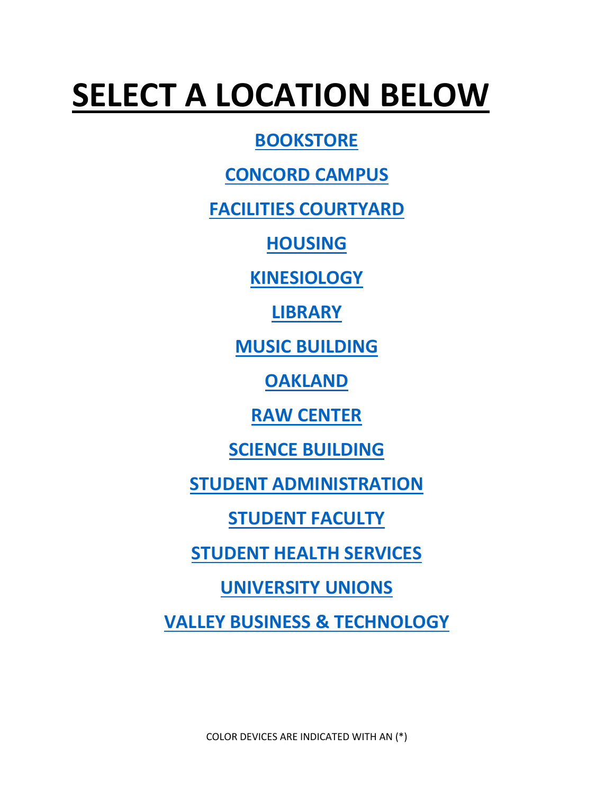# **SELECT A LOCATION BELOW**

**[BOOKSTORE](#page-0-0)**

**[CONCORD CAMPUS](#page-1-0)**

**[FACILITIES COURTYARD](#page-1-1)**

**[HOUSING](#page-1-2)**

**[KINESIOLOGY](#page-1-3)**

**[LIBRARY](#page-1-4)**

**[MUSIC BUILDING](#page-2-0)**

**[OAKLAND](#page-2-1)**

**[RAW CENTER](#page-2-2)**

**[SCIENCE BUILDING](#page-2-3)**

**[STUDENT ADMINISTRATION](#page-3-0)**

**[STUDENT FACULTY](#page-4-0)**

**[STUDENT HEALTH SERVICES](#page-5-0)**

**[UNIVERSITY UNIONS](#page-5-1)**

<span id="page-0-0"></span>**[VALLEY BUSINESS & TECHNOLOGY](#page-5-2)**

COLOR DEVICES ARE INDICATED WITH AN (\*)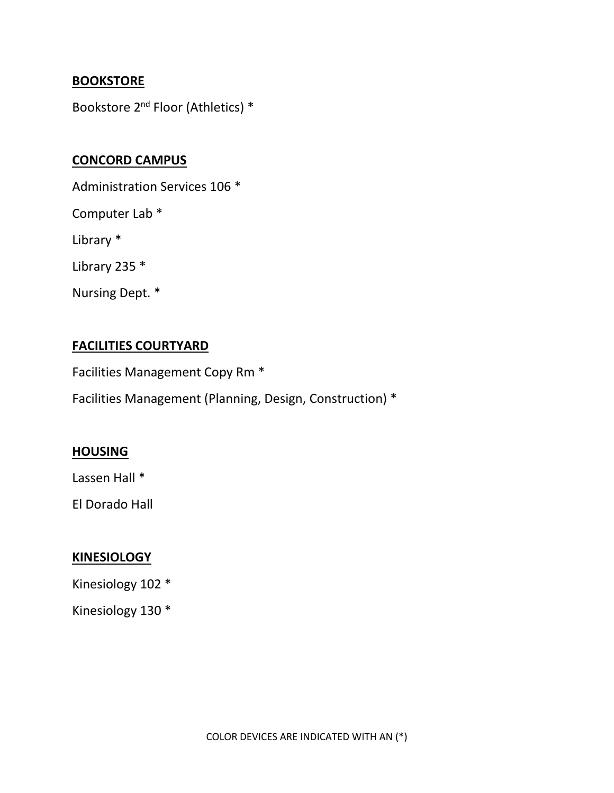## **BOOKSTORE**

Bookstore 2<sup>nd</sup> Floor (Athletics) \*

## <span id="page-1-0"></span>**CONCORD CAMPUS**

Administration Services 106 \*

Computer Lab \*

Library \*

Library 235 \*

Nursing Dept. \*

## <span id="page-1-1"></span>**FACILITIES COURTYARD**

Facilities Management Copy Rm \*

Facilities Management (Planning, Design, Construction) \*

## <span id="page-1-2"></span>**HOUSING**

Lassen Hall \*

El Dorado Hall

## <span id="page-1-3"></span>**KINESIOLOGY**

Kinesiology 102 \*

<span id="page-1-4"></span>Kinesiology 130 \*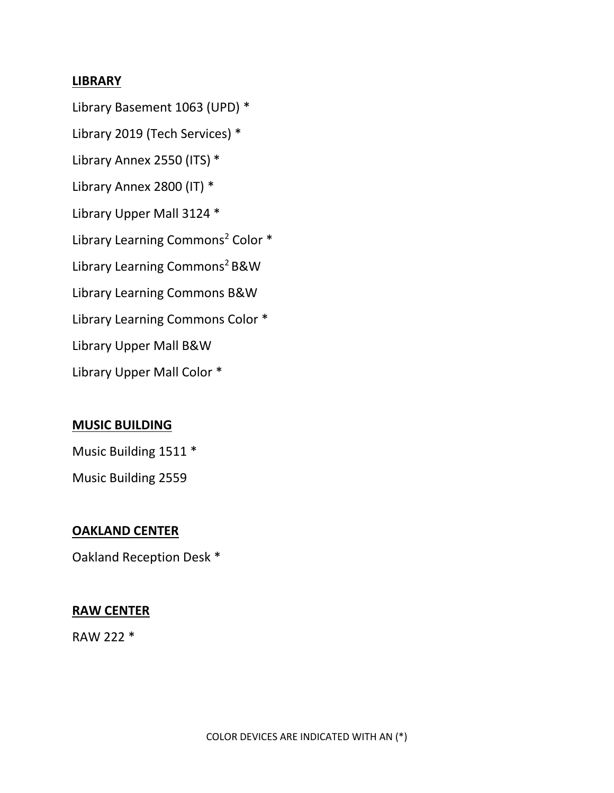## **LIBRARY**

Library Basement 1063 (UPD) \* Library 2019 (Tech Services) \* Library Annex 2550 (ITS) \* Library Annex 2800 (IT) \* Library Upper Mall 3124 \* Library Learning Commons<sup>2</sup> Color \* Library Learning Commons<sup>2</sup> B&W Library Learning Commons B&W Library Learning Commons Color \* Library Upper Mall B&W Library Upper Mall Color \*

## <span id="page-2-0"></span>**MUSIC BUILDING**

Music Building 1511 \*

<span id="page-2-1"></span>Music Building 2559

#### **OAKLAND CENTER**

<span id="page-2-2"></span>Oakland Reception Desk \*

#### **RAW CENTER**

<span id="page-2-3"></span>RAW 222 \*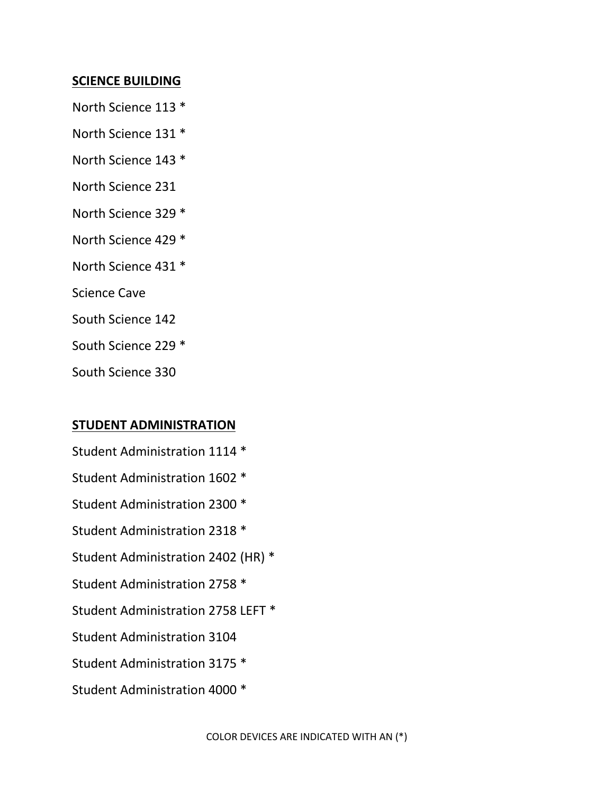## **SCIENCE BUILDING**

- North Science 113 \*
- North Science 131 \*
- North Science 143 \*
- North Science 231
- North Science 329 \*
- North Science 429 \*
- North Science 431 \*
- Science Cave
- South Science 142
- South Science 229 \*
- South Science 330

## <span id="page-3-0"></span>**STUDENT ADMINISTRATION**

- Student Administration 1114 \*
- Student Administration 1602 \*
- Student Administration 2300 \*
- Student Administration 2318 \*
- Student Administration 2402 (HR) \*
- Student Administration 2758 \*
- Student Administration 2758 LEFT \*
- Student Administration 3104
- Student Administration 3175 \*
- Student Administration 4000 \*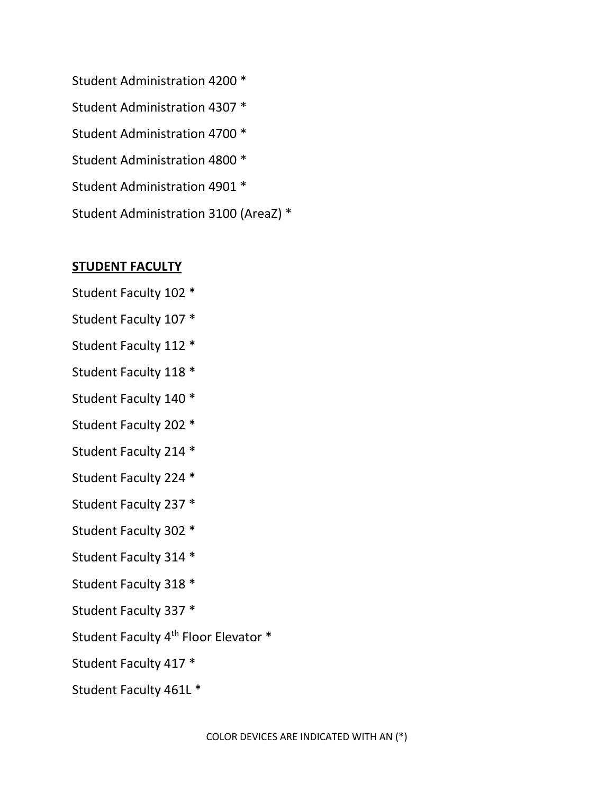Student Administration 4200 \* Student Administration 4307 \* Student Administration 4700 \* Student Administration 4800 \* Student Administration 4901 \* Student Administration 3100 (AreaZ) \*

## <span id="page-4-0"></span>**STUDENT FACULTY**

- Student Faculty 102 \*
- Student Faculty 107 \*
- Student Faculty 112 \*
- Student Faculty 118 \*
- Student Faculty 140 \*
- Student Faculty 202 \*
- Student Faculty 214 \*
- Student Faculty 224 \*
- Student Faculty 237 \*
- Student Faculty 302 \*
- Student Faculty 314 \*
- Student Faculty 318 \*
- Student Faculty 337 \*
- Student Faculty 4<sup>th</sup> Floor Elevator \*
- Student Faculty 417 \*
- Student Faculty 461L \*